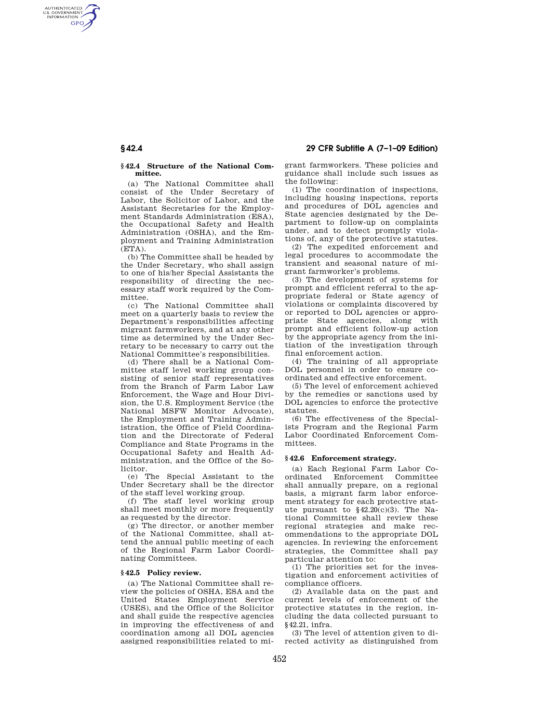### **§ 42.4 Structure of the National Committee.**

(a) The National Committee shall consist of the Under Secretary of Labor, the Solicitor of Labor, and the Assistant Secretaries for the Employment Standards Administration (ESA), the Occupational Safety and Health Administration (OSHA), and the Employment and Training Administration  $(ETFA)$ .

(b) The Committee shall be headed by the Under Secretary, who shall assign to one of his/her Special Assistants the responsibility of directing the necessary staff work required by the Committee.

(c) The National Committee shall meet on a quarterly basis to review the Department's responsibilities affecting migrant farmworkers, and at any other time as determined by the Under Secretary to be necessary to carry out the National Committee's responsibilities.

(d) There shall be a National Committee staff level working group consisting of senior staff representatives from the Branch of Farm Labor Law Enforcement, the Wage and Hour Division, the U.S. Employment Service (the National MSFW Monitor Advocate), the Employment and Training Administration, the Office of Field Coordination and the Directorate of Federal Compliance and State Programs in the Occupational Safety and Health Administration, and the Office of the Solicitor.

(e) The Special Assistant to the Under Secretary shall be the director of the staff level working group.

(f) The staff level working group shall meet monthly or more frequently as requested by the director.

(g) The director, or another member of the National Committee, shall attend the annual public meeting of each of the Regional Farm Labor Coordinating Committees.

## **§ 42.5 Policy review.**

(a) The National Committee shall review the policies of OSHA, ESA and the United States Employment Service (USES), and the Office of the Solicitor and shall guide the respective agencies in improving the effectiveness of and coordination among all DOL agencies assigned responsibilities related to migrant farmworkers. These policies and guidance shall include such issues as the following:

(1) The coordination of inspections, including housing inspections, reports and procedures of DOL agencies and State agencies designated by the Department to follow-up on complaints under, and to detect promptly violations of, any of the protective statutes.

(2) The expedited enforcement and legal procedures to accommodate the transient and seasonal nature of migrant farmworker's problems.

(3) The development of systems for prompt and efficient referral to the appropriate federal or State agency of violations or complaints discovered by or reported to DOL agencies or appropriate State agencies, along with prompt and efficient follow-up action by the appropriate agency from the initiation of the investigation through final enforcement action.

(4) The training of all appropriate DOL personnel in order to ensure coordinated and effective enforcement.

(5) The level of enforcement achieved by the remedies or sanctions used by DOL agencies to enforce the protective statutes.

(6) The effectiveness of the Specialists Program and the Regional Farm Labor Coordinated Enforcement Committees.

## **§ 42.6 Enforcement strategy.**

(a) Each Regional Farm Labor Coordinated Enforcement Committee shall annually prepare, on a regional basis, a migrant farm labor enforcement strategy for each protective statute pursuant to §42.20(c)(3). The National Committee shall review these regional strategies and make recommendations to the appropriate DOL agencies. In reviewing the enforcement strategies, the Committee shall pay particular attention to:

(1) The priorities set for the investigation and enforcement activities of compliance officers.

(2) Available data on the past and current levels of enforcement of the protective statutes in the region, including the data collected pursuant to §42.21, infra.

(3) The level of attention given to directed activity as distinguished from

AUTHENTICATED<br>U.S. GOVERNMENT<br>INFORMATION **GPO**